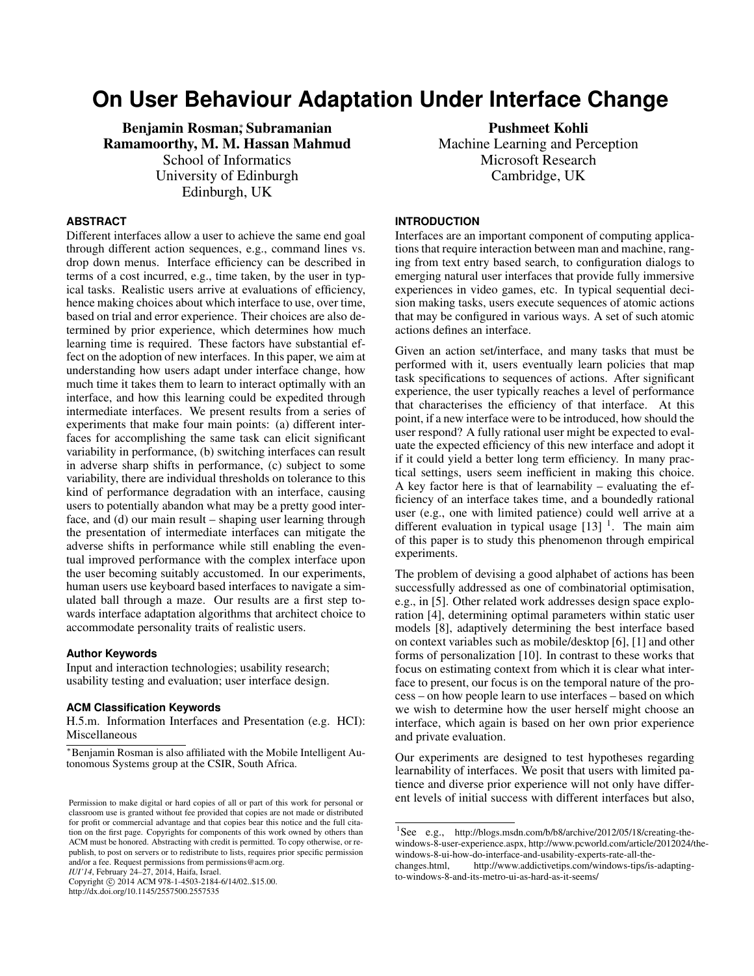# **On User Behaviour Adaptation Under Interface Change**

Benjamin Rosman; Subramanian Ramamoorthy, M. M. Hassan Mahmud School of Informatics University of Edinburgh Edinburgh, UK

# **ABSTRACT**

Different interfaces allow a user to achieve the same end goal through different action sequences, e.g., command lines vs. drop down menus. Interface efficiency can be described in terms of a cost incurred, e.g., time taken, by the user in typical tasks. Realistic users arrive at evaluations of efficiency, hence making choices about which interface to use, over time, based on trial and error experience. Their choices are also determined by prior experience, which determines how much learning time is required. These factors have substantial effect on the adoption of new interfaces. In this paper, we aim at understanding how users adapt under interface change, how much time it takes them to learn to interact optimally with an interface, and how this learning could be expedited through intermediate interfaces. We present results from a series of experiments that make four main points: (a) different interfaces for accomplishing the same task can elicit significant variability in performance, (b) switching interfaces can result in adverse sharp shifts in performance, (c) subject to some variability, there are individual thresholds on tolerance to this kind of performance degradation with an interface, causing users to potentially abandon what may be a pretty good interface, and (d) our main result – shaping user learning through the presentation of intermediate interfaces can mitigate the adverse shifts in performance while still enabling the eventual improved performance with the complex interface upon the user becoming suitably accustomed. In our experiments, human users use keyboard based interfaces to navigate a simulated ball through a maze. Our results are a first step towards interface adaptation algorithms that architect choice to accommodate personality traits of realistic users.

#### **Author Keywords**

Input and interaction technologies; usability research; usability testing and evaluation; user interface design.

## **ACM Classification Keywords**

H.5.m. Information Interfaces and Presentation (e.g. HCI): Miscellaneous

Copyright © 2014 ACM 978-1-4503-2184-6/14/02..\$15.00.

http://dx.doi.org/10.1145/2557500.2557535

Pushmeet Kohli Machine Learning and Perception Microsoft Research Cambridge, UK

# **INTRODUCTION**

Interfaces are an important component of computing applications that require interaction between man and machine, ranging from text entry based search, to configuration dialogs to emerging natural user interfaces that provide fully immersive experiences in video games, etc. In typical sequential decision making tasks, users execute sequences of atomic actions that may be configured in various ways. A set of such atomic actions defines an interface.

Given an action set/interface, and many tasks that must be performed with it, users eventually learn policies that map task specifications to sequences of actions. After significant experience, the user typically reaches a level of performance that characterises the efficiency of that interface. At this point, if a new interface were to be introduced, how should the user respond? A fully rational user might be expected to evaluate the expected efficiency of this new interface and adopt it if it could yield a better long term efficiency. In many practical settings, users seem inefficient in making this choice. A key factor here is that of learnability – evaluating the efficiency of an interface takes time, and a boundedly rational user (e.g., one with limited patience) could well arrive at a different evaluation in typical usage  $[13]$ <sup>[1](#page-0-0)</sup>. The main aim of this paper is to study this phenomenon through empirical experiments.

The problem of devising a good alphabet of actions has been successfully addressed as one of combinatorial optimisation, e.g., in [\[5\]](#page-5-1). Other related work addresses design space exploration [\[4\]](#page-5-2), determining optimal parameters within static user models [\[8\]](#page-5-3), adaptively determining the best interface based on context variables such as mobile/desktop [\[6\]](#page-5-4), [\[1\]](#page-5-5) and other forms of personalization [\[10\]](#page-5-6). In contrast to these works that focus on estimating context from which it is clear what interface to present, our focus is on the temporal nature of the process – on how people learn to use interfaces – based on which we wish to determine how the user herself might choose an interface, which again is based on her own prior experience and private evaluation.

Our experiments are designed to test hypotheses regarding learnability of interfaces. We posit that users with limited patience and diverse prior experience will not only have different levels of initial success with different interfaces but also,

<sup>∗</sup>Benjamin Rosman is also affiliated with the Mobile Intelligent Autonomous Systems group at the CSIR, South Africa.

Permission to make digital or hard copies of all or part of this work for personal or classroom use is granted without fee provided that copies are not made or distributed for profit or commercial advantage and that copies bear this notice and the full citation on the first page. Copyrights for components of this work owned by others than ACM must be honored. Abstracting with credit is permitted. To copy otherwise, or republish, to post on servers or to redistribute to lists, requires prior specific permission and/or a fee. Request permissions from permissions@acm.org. *IUI'14*, February 24–27, 2014, Haifa, Israel.

<span id="page-0-0"></span><sup>&</sup>lt;sup>1</sup>See e.g., http://blogs.msdn.com/b/b8/archive/2012/05/18/creating-thewindows-8-user-experience.aspx, http://www.pcworld.com/article/2012024/thewindows-8-ui-how-do-interface-and-usability-experts-rate-all-the-<br>changes.html, http://www.addictivetips.com/windows-tips/ishttp://www.addictivetips.com/windows-tips/is-adaptingto-windows-8-and-its-metro-ui-as-hard-as-it-seems/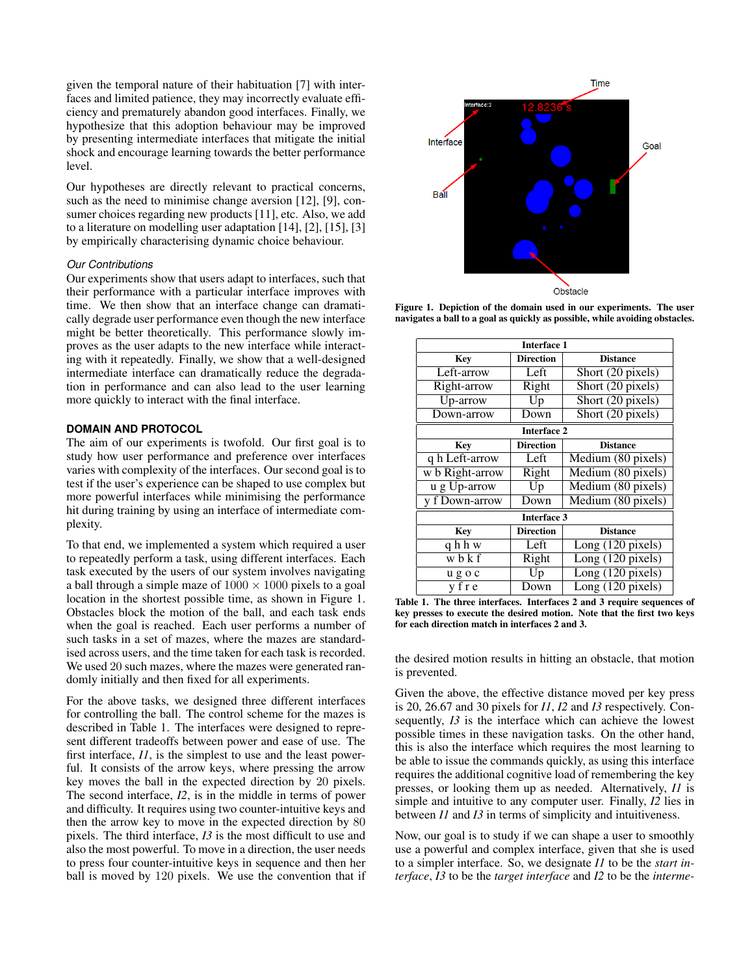given the temporal nature of their habituation [\[7\]](#page-5-7) with interfaces and limited patience, they may incorrectly evaluate efficiency and prematurely abandon good interfaces. Finally, we hypothesize that this adoption behaviour may be improved by presenting intermediate interfaces that mitigate the initial shock and encourage learning towards the better performance level.

Our hypotheses are directly relevant to practical concerns, such as the need to minimise change aversion [\[12\]](#page-5-8), [\[9\]](#page-5-9), consumer choices regarding new products [\[11\]](#page-5-10), etc. Also, we add to a literature on modelling user adaptation [\[14\]](#page-5-11), [\[2\]](#page-5-12), [\[15\]](#page-5-13), [\[3\]](#page-5-14) by empirically characterising dynamic choice behaviour.

# *Our Contributions*

Our experiments show that users adapt to interfaces, such that their performance with a particular interface improves with time. We then show that an interface change can dramatically degrade user performance even though the new interface might be better theoretically. This performance slowly improves as the user adapts to the new interface while interacting with it repeatedly. Finally, we show that a well-designed intermediate interface can dramatically reduce the degradation in performance and can also lead to the user learning more quickly to interact with the final interface.

# **DOMAIN AND PROTOCOL**

The aim of our experiments is twofold. Our first goal is to study how user performance and preference over interfaces varies with complexity of the interfaces. Our second goal is to test if the user's experience can be shaped to use complex but more powerful interfaces while minimising the performance hit during training by using an interface of intermediate complexity.

To that end, we implemented a system which required a user to repeatedly perform a task, using different interfaces. Each task executed by the users of our system involves navigating a ball through a simple maze of  $1000 \times 1000$  pixels to a goal location in the shortest possible time, as shown in Figure [1.](#page-1-0) Obstacles block the motion of the ball, and each task ends when the goal is reached. Each user performs a number of such tasks in a set of mazes, where the mazes are standardised across users, and the time taken for each task is recorded. We used 20 such mazes, where the mazes were generated randomly initially and then fixed for all experiments.

For the above tasks, we designed three different interfaces for controlling the ball. The control scheme for the mazes is described in Table [1.](#page-1-1) The interfaces were designed to represent different tradeoffs between power and ease of use. The first interface, *I1*, is the simplest to use and the least powerful. It consists of the arrow keys, where pressing the arrow key moves the ball in the expected direction by 20 pixels. The second interface, *I2*, is in the middle in terms of power and difficulty. It requires using two counter-intuitive keys and then the arrow key to move in the expected direction by 80 pixels. The third interface, *I3* is the most difficult to use and also the most powerful. To move in a direction, the user needs to press four counter-intuitive keys in sequence and then her ball is moved by 120 pixels. We use the convention that if



Figure 1. Depiction of the domain used in our experiments. The user navigates a ball to a goal as quickly as possible, while avoiding obstacles.

<span id="page-1-0"></span>

| <b>Interface 1</b> |                  |                                               |
|--------------------|------------------|-----------------------------------------------|
| Key                | <b>Direction</b> | <b>Distance</b>                               |
| Left-arrow         | Left             | Short (20 pixels)                             |
| Right-arrow        | Right            | $\overline{\text{Short} (20 \text{ pixels})}$ |
| Up-arrow           | Up               | Short (20 pixels)                             |
| Down-arrow         | Down             | Short (20 pixels)                             |
| <b>Interface 2</b> |                  |                                               |
| Key                | <b>Direction</b> | <b>Distance</b>                               |
| q h Left-arrow     | Left             | Medium (80 pixels)                            |
| w b Right-arrow    | Right            | Medium (80 pixels)                            |
| u g Up-arrow       | Up               | Medium (80 pixels)                            |
| y f Down-arrow     | Down             | Medium (80 pixels)                            |
| <b>Interface 3</b> |                  |                                               |
| Key                | <b>Direction</b> | <b>Distance</b>                               |
| qhhw               | Left             | Long $(120 \text{ pixels})$                   |
| w b k f            | Right            | Long $(120 \text{ pixels})$                   |
| ugoc               | Up               | $\overline{\text{Long}}$ (120 pixels)         |
| $\sqrt{r}$         | Down             | Long $(120 \text{ pixels})$                   |

<span id="page-1-1"></span>Table 1. The three interfaces. Interfaces 2 and 3 require sequences of key presses to execute the desired motion. Note that the first two keys for each direction match in interfaces 2 and 3.

the desired motion results in hitting an obstacle, that motion is prevented.

Given the above, the effective distance moved per key press is 20, 26.67 and 30 pixels for *I1*, *I2* and *I3* respectively. Consequently, *I3* is the interface which can achieve the lowest possible times in these navigation tasks. On the other hand, this is also the interface which requires the most learning to be able to issue the commands quickly, as using this interface requires the additional cognitive load of remembering the key presses, or looking them up as needed. Alternatively, *I1* is simple and intuitive to any computer user. Finally, *I2* lies in between *I1* and *I3* in terms of simplicity and intuitiveness.

Now, our goal is to study if we can shape a user to smoothly use a powerful and complex interface, given that she is used to a simpler interface. So, we designate *I1* to be the *start interface*, *I3* to be the *target interface* and *I2* to be the *interme-*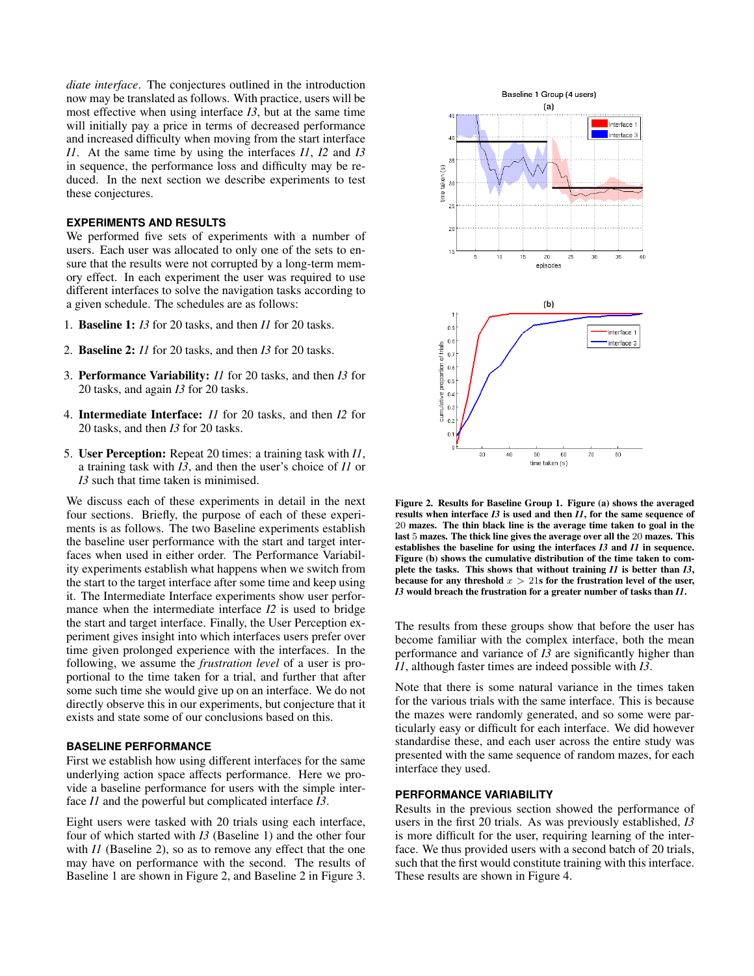*diate interface*. The conjectures outlined in the introduction now may be translated as follows. With practice, users will be most effective when using interface *I3*, but at the same time will initially pay a price in terms of decreased performance and increased difficulty when moving from the start interface *I1*. At the same time by using the interfaces *I1*, *I2* and *I3* in sequence, the performance loss and difficulty may be reduced. In the next section we describe experiments to test these conjectures.

# **EXPERIMENTS AND RESULTS**

We performed five sets of experiments with a number of users. Each user was allocated to only one of the sets to ensure that the results were not corrupted by a long-term memory effect. In each experiment the user was required to use different interfaces to solve the navigation tasks according to a given schedule. The schedules are as follows:

- 1. Baseline 1: *I3* for 20 tasks, and then *I1* for 20 tasks.
- 2. Baseline 2: *I1* for 20 tasks, and then *I3* for 20 tasks.
- 3. Performance Variability: *I1* for 20 tasks, and then *I3* for 20 tasks, and again *I3* for 20 tasks.
- 4. Intermediate Interface: *I1* for 20 tasks, and then *I2* for 20 tasks, and then *I3* for 20 tasks.
- 5. User Perception: Repeat 20 times: a training task with *I1*, a training task with *I3*, and then the user's choice of *I1* or *I3* such that time taken is minimised.

We discuss each of these experiments in detail in the next four sections. Briefly, the purpose of each of these experiments is as follows. The two Baseline experiments establish the baseline user performance with the start and target interfaces when used in either order. The Performance Variability experiments establish what happens when we switch from the start to the target interface after some time and keep using it. The Intermediate Interface experiments show user performance when the intermediate interface *I2* is used to bridge the start and target interface. Finally, the User Perception experiment gives insight into which interfaces users prefer over time given prolonged experience with the interfaces. In the following, we assume the *frustration level* of a user is proportional to the time taken for a trial, and further that after some such time she would give up on an interface. We do not directly observe this in our experiments, but conjecture that it exists and state some of our conclusions based on this.

# **BASELINE PERFORMANCE**

First we establish how using different interfaces for the same underlying action space affects performance. Here we provide a baseline performance for users with the simple interface *I1* and the powerful but complicated interface *I3*.

Eight users were tasked with 20 trials using each interface, four of which started with *I3* (Baseline 1) and the other four with *I1* (Baseline 2), so as to remove any effect that the one may have on performance with the second. The results of Baseline 1 are shown in Figure [2,](#page-2-0) and Baseline 2 in Figure [3.](#page-3-0)



<span id="page-2-0"></span>Figure 2. Results for Baseline Group 1. Figure (a) shows the averaged results when interface *I3* is used and then *I1*, for the same sequence of 20 mazes. The thin black line is the average time taken to goal in the last 5 mazes. The thick line gives the average over all the 20 mazes. This establishes the baseline for using the interfaces *I3* and *I1* in sequence. Figure (b) shows the cumulative distribution of the time taken to complete the tasks. This shows that without training *I1* is better than *I3*, because for any threshold  $x > 21$ s for the frustration level of the user, *I3* would breach the frustration for a greater number of tasks than *I1*.

The results from these groups show that before the user has become familiar with the complex interface, both the mean performance and variance of *I3* are significantly higher than *I1*, although faster times are indeed possible with *I3*.

Note that there is some natural variance in the times taken for the various trials with the same interface. This is because the mazes were randomly generated, and so some were particularly easy or difficult for each interface. We did however standardise these, and each user across the entire study was presented with the same sequence of random mazes, for each interface they used.

## **PERFORMANCE VARIABILITY**

Results in the previous section showed the performance of users in the first 20 trials. As was previously established, *I3* is more difficult for the user, requiring learning of the interface. We thus provided users with a second batch of 20 trials, such that the first would constitute training with this interface. These results are shown in Figure [4.](#page-3-1)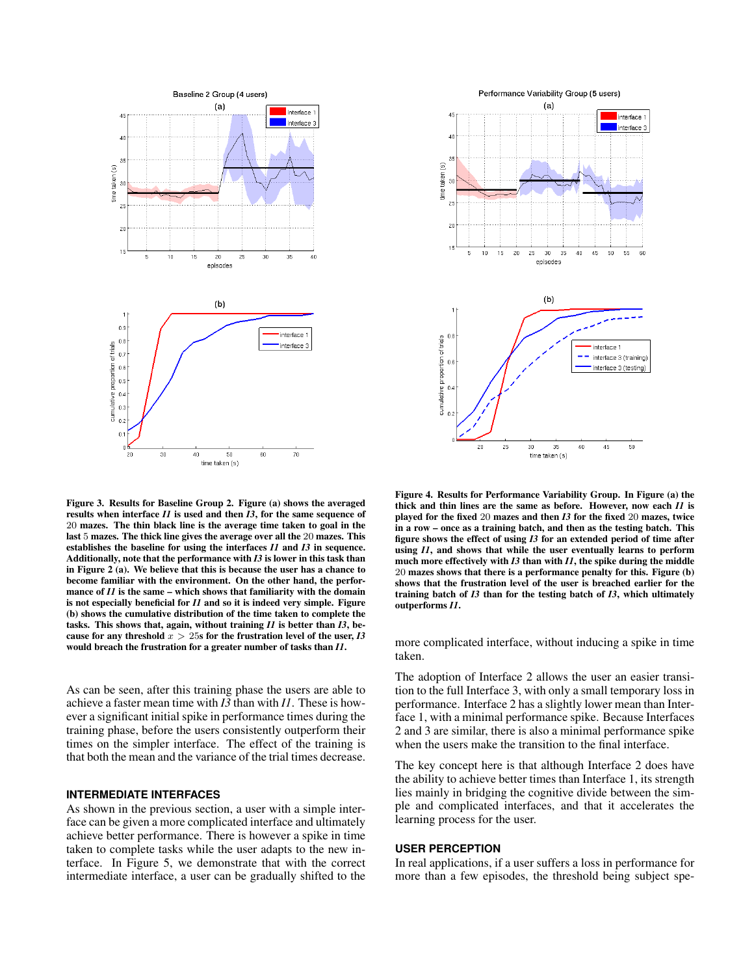

<span id="page-3-0"></span>Figure 3. Results for Baseline Group 2. Figure (a) shows the averaged results when interface *I1* is used and then *I3*, for the same sequence of 20 mazes. The thin black line is the average time taken to goal in the last 5 mazes. The thick line gives the average over all the 20 mazes. This establishes the baseline for using the interfaces *I1* and *I3* in sequence. Additionally, note that the performance with *I3* is lower in this task than in Figure [2](#page-2-0) (a). We believe that this is because the user has a chance to become familiar with the environment. On the other hand, the performance of *I1* is the same – which shows that familiarity with the domain is not especially beneficial for *I1* and so it is indeed very simple. Figure (b) shows the cumulative distribution of the time taken to complete the tasks. This shows that, again, without training *I1* is better than *I3*, because for any threshold  $x > 25$ s for the frustration level of the user,  $I3$ would breach the frustration for a greater number of tasks than *I1*.

As can be seen, after this training phase the users are able to achieve a faster mean time with *I3* than with *I1*. These is however a significant initial spike in performance times during the training phase, before the users consistently outperform their times on the simpler interface. The effect of the training is that both the mean and the variance of the trial times decrease.

# **INTERMEDIATE INTERFACES**

As shown in the previous section, a user with a simple interface can be given a more complicated interface and ultimately achieve better performance. There is however a spike in time taken to complete tasks while the user adapts to the new interface. In Figure [5,](#page-4-0) we demonstrate that with the correct intermediate interface, a user can be gradually shifted to the



<span id="page-3-1"></span>Figure 4. Results for Performance Variability Group. In Figure (a) the thick and thin lines are the same as before. However, now each *I1* is played for the fixed 20 mazes and then *I3* for the fixed 20 mazes, twice in a row – once as a training batch, and then as the testing batch. This figure shows the effect of using *I3* for an extended period of time after using *I1*, and shows that while the user eventually learns to perform much more effectively with *I3* than with *I1*, the spike during the middle 20 mazes shows that there is a performance penalty for this. Figure (b) shows that the frustration level of the user is breached earlier for the training batch of *I3* than for the testing batch of *I3*, which ultimately outperforms *I1*.

more complicated interface, without inducing a spike in time taken.

The adoption of Interface 2 allows the user an easier transition to the full Interface 3, with only a small temporary loss in performance. Interface 2 has a slightly lower mean than Interface 1, with a minimal performance spike. Because Interfaces 2 and 3 are similar, there is also a minimal performance spike when the users make the transition to the final interface.

The key concept here is that although Interface 2 does have the ability to achieve better times than Interface 1, its strength lies mainly in bridging the cognitive divide between the simple and complicated interfaces, and that it accelerates the learning process for the user.

## **USER PERCEPTION**

In real applications, if a user suffers a loss in performance for more than a few episodes, the threshold being subject spe-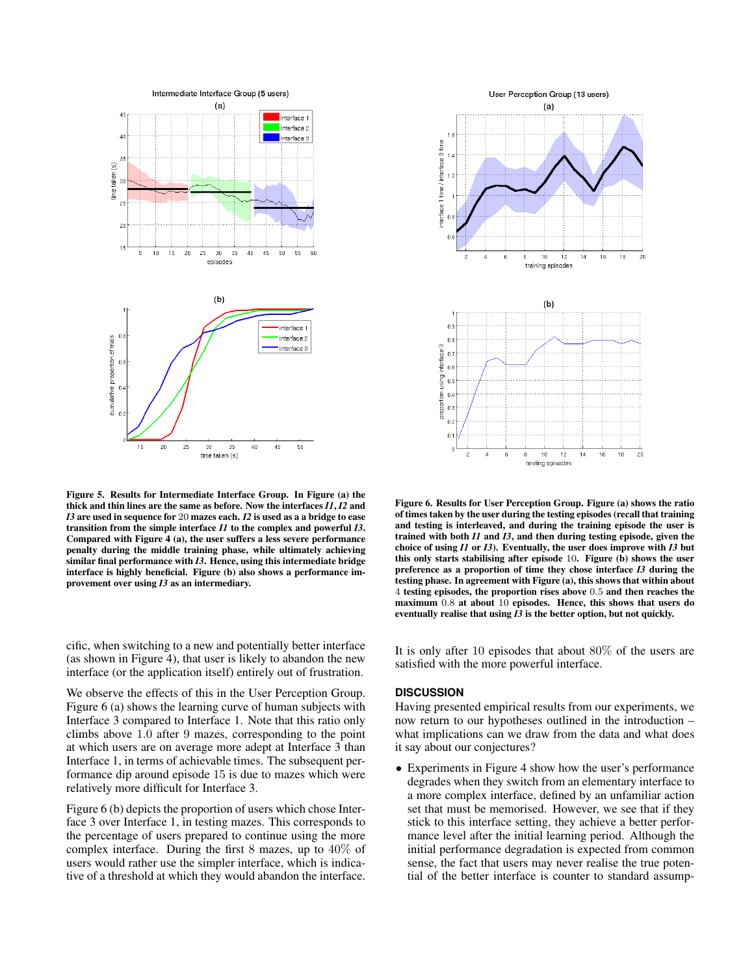

<span id="page-4-0"></span>Figure 5. Results for Intermediate Interface Group. In Figure (a) the thick and thin lines are the same as before. Now the interfaces *I1*, *I2* and *I3* are used in sequence for 20 mazes each. *I2* is used as a a bridge to ease transition from the simple interface *I1* to the complex and powerful *I3*. Compared with Figure [4](#page-3-1) (a), the user suffers a less severe performance penalty during the middle training phase, while ultimately achieving similar final performance with *I3*. Hence, using this intermediate bridge interface is highly beneficial. Figure (b) also shows a performance improvement over using *I3* as an intermediary.

cific, when switching to a new and potentially better interface (as shown in Figure [4\)](#page-3-1), that user is likely to abandon the new interface (or the application itself) entirely out of frustration.

We observe the effects of this in the User Perception Group. Figure [6](#page-4-1) (a) shows the learning curve of human subjects with Interface 3 compared to Interface 1. Note that this ratio only climbs above 1.0 after 9 mazes, corresponding to the point at which users are on average more adept at Interface 3 than Interface 1, in terms of achievable times. The subsequent performance dip around episode 15 is due to mazes which were relatively more difficult for Interface 3.

Figure [6](#page-4-1) (b) depicts the proportion of users which chose Interface 3 over Interface 1, in testing mazes. This corresponds to the percentage of users prepared to continue using the more complex interface. During the first 8 mazes, up to 40% of users would rather use the simpler interface, which is indicative of a threshold at which they would abandon the interface.



<span id="page-4-1"></span>Figure 6. Results for User Perception Group. Figure (a) shows the ratio of times taken by the user during the testing episodes (recall that training and testing is interleaved, and during the training episode the user is trained with both *I1* and *I3*, and then during testing episode, given the choice of using *I1* or *I3*). Eventually, the user does improve with *I3* but this only starts stabilising after episode 10. Figure (b) shows the user preference as a proportion of time they chose interface *I3* during the testing phase. In agreement with Figure (a), this shows that within about 4 testing episodes, the proportion rises above 0.5 and then reaches the maximum 0.8 at about 10 episodes. Hence, this shows that users do eventually realise that using *I3* is the better option, but not quickly.

It is only after 10 episodes that about 80% of the users are satisfied with the more powerful interface.

## **DISCUSSION**

Having presented empirical results from our experiments, we now return to our hypotheses outlined in the introduction – what implications can we draw from the data and what does it say about our conjectures?

• Experiments in Figure [4](#page-3-1) show how the user's performance degrades when they switch from an elementary interface to a more complex interface, defined by an unfamiliar action set that must be memorised. However, we see that if they stick to this interface setting, they achieve a better performance level after the initial learning period. Although the initial performance degradation is expected from common sense, the fact that users may never realise the true potential of the better interface is counter to standard assump-